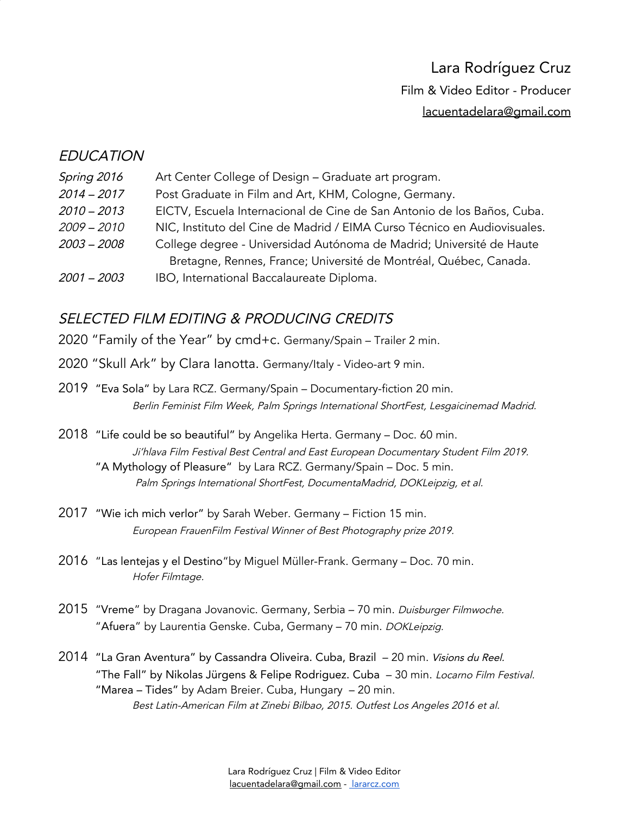# Lara Rodríguez Cruz Film & Video Editor - Producer [lacuentadelara@gmail.com](mailto:lacuentadelara@gmail.com)

#### **EDUCATION**

| Spring 2016   | Art Center College of Design - Graduate art program.                     |  |
|---------------|--------------------------------------------------------------------------|--|
| $2014 - 2017$ | Post Graduate in Film and Art, KHM, Cologne, Germany.                    |  |
| $2010 - 2013$ | EICTV, Escuela Internacional de Cine de San Antonio de los Baños, Cuba.  |  |
| $2009 - 2010$ | NIC, Instituto del Cine de Madrid / EIMA Curso Técnico en Audiovisuales. |  |
| $2003 - 2008$ | College degree - Universidad Autónoma de Madrid; Université de Haute     |  |
|               | Bretagne, Rennes, France; Université de Montréal, Québec, Canada.        |  |
| $2001 - 2003$ | IBO, International Baccalaureate Diploma.                                |  |

## SELECTED FILM EDITING & PRODUCING CREDITS

2020 "Family of the Year" by cmd+c. Germany/Spain – Trailer 2 min.

- 2020 "Skull Ark" by Clara Ianotta. Germany/Italy Video-art 9 min.
- 2019 "Eva Sola" by Lara RCZ. Germany/Spain Documentary-fiction 20 min. Berlin Feminist Film Week, Palm Springs International ShortFest, Lesgaicinemad Madrid.
- 2018 "Life could be so beautiful" by Angelika Herta. Germany Doc. 60 min. Ji'hlava Film Festival Best Central and East European Documentary Student Film 2019. "A Mythology of Pleasure" by Lara RCZ. Germany/Spain – Doc. 5 min. Palm Springs International ShortFest, DocumentaMadrid, DOKLeipzig, et al.
- 2017 "Wie ich mich verlor" by Sarah Weber. Germany Fiction 15 min. European FrauenFilm Festival Winner of Best Photography prize 2019.
- 2016 "Las lentejas y el Destino"by Miguel Müller-Frank. Germany Doc. 70 min. Hofer Filmtage.
- 2015 "Vreme" by Dragana Jovanovic. Germany, Serbia 70 min. Duisburger Filmwoche. "Afuera" by Laurentia Genske. Cuba, Germany - 70 min. DOKLeipzig.
- 2014 "La Gran Aventura" by Cassandra Oliveira. Cuba, Brazil 20 min. Visions du Reel. "The Fall" by Nikolas Jürgens & Felipe Rodriguez. Cuba - 30 min. Locarno Film Festival. ["Marea](https://vimeo.com/68828675) – Tides" by Adam Breier. Cuba, Hungary – 20 min. Best Latin-American Film at Zinebi Bilbao, 2015. Outfest Los Angeles 2016 et al.